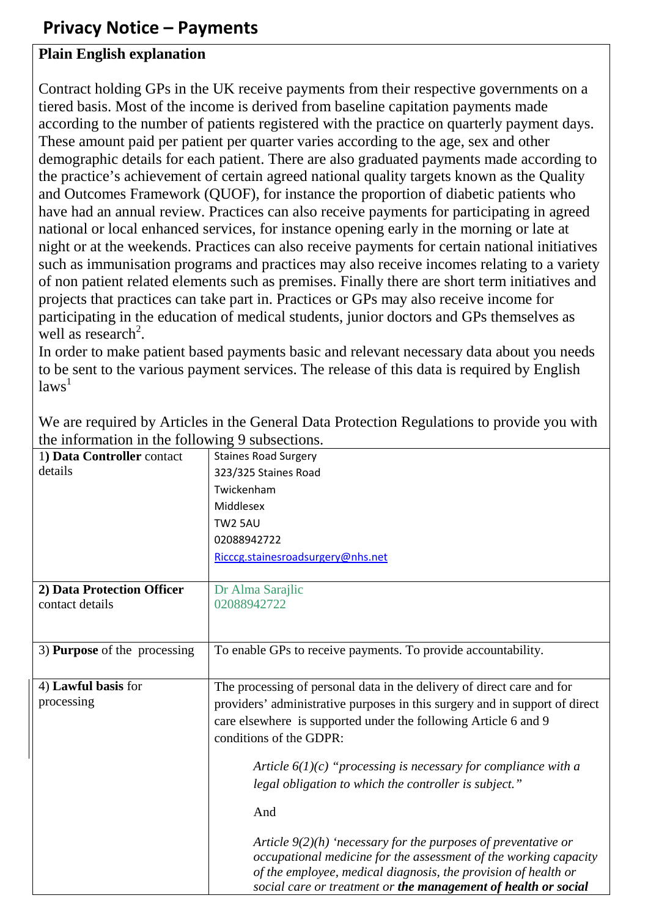## **Privacy Notice – Payments**

## **Plain English explanation**

Contract holding GPs in the UK receive payments from their respective governments on a tiered basis. Most of the income is derived from baseline capitation payments made according to the number of patients registered with the practice on quarterly payment days. These amount paid per patient per quarter varies according to the age, sex and other demographic details for each patient. There are also graduated payments made according to the practice's achievement of certain agreed national quality targets known as the Quality and Outcomes Framework (QUOF), for instance the proportion of diabetic patients who have had an annual review. Practices can also receive payments for participating in agreed national or local enhanced services, for instance opening early in the morning or late at night or at the weekends. Practices can also receive payments for certain national initiatives such as immunisation programs and practices may also receive incomes relating to a variety of non patient related elements such as premises. Finally there are short term initiatives and projects that practices can take part in. Practices or GPs may also receive income for participating in the education of medical students, junior doctors and GPs themselves as well as research<sup>2</sup>.

In order to make patient based payments basic and relevant necessary data about you needs to be sent to the various payment services. The release of this data is required by English  $laws<sup>1</sup>$ 

| the implimation in the following    | 20000                                                                                                                                                                                                                                                                    |
|-------------------------------------|--------------------------------------------------------------------------------------------------------------------------------------------------------------------------------------------------------------------------------------------------------------------------|
| 1) Data Controller contact          | <b>Staines Road Surgery</b>                                                                                                                                                                                                                                              |
| details                             | 323/325 Staines Road                                                                                                                                                                                                                                                     |
|                                     | Twickenham                                                                                                                                                                                                                                                               |
|                                     | Middlesex                                                                                                                                                                                                                                                                |
|                                     | <b>TW2 5AU</b>                                                                                                                                                                                                                                                           |
|                                     | 02088942722                                                                                                                                                                                                                                                              |
|                                     | Ricccg.stainesroadsurgery@nhs.net                                                                                                                                                                                                                                        |
|                                     |                                                                                                                                                                                                                                                                          |
| 2) Data Protection Officer          | Dr Alma Sarajlic                                                                                                                                                                                                                                                         |
| contact details                     | 02088942722                                                                                                                                                                                                                                                              |
|                                     |                                                                                                                                                                                                                                                                          |
|                                     |                                                                                                                                                                                                                                                                          |
| 3) <b>Purpose</b> of the processing | To enable GPs to receive payments. To provide accountability.                                                                                                                                                                                                            |
|                                     |                                                                                                                                                                                                                                                                          |
| 4) Lawful basis for                 | The processing of personal data in the delivery of direct care and for                                                                                                                                                                                                   |
| processing                          | providers' administrative purposes in this surgery and in support of direct                                                                                                                                                                                              |
|                                     | care elsewhere is supported under the following Article 6 and 9                                                                                                                                                                                                          |
|                                     | conditions of the GDPR:                                                                                                                                                                                                                                                  |
|                                     |                                                                                                                                                                                                                                                                          |
|                                     | Article $6(1)(c)$ "processing is necessary for compliance with a                                                                                                                                                                                                         |
|                                     | legal obligation to which the controller is subject."                                                                                                                                                                                                                    |
|                                     | And                                                                                                                                                                                                                                                                      |
|                                     |                                                                                                                                                                                                                                                                          |
|                                     | Article $9(2)(h)$ 'necessary for the purposes of preventative or<br>occupational medicine for the assessment of the working capacity<br>of the employee, medical diagnosis, the provision of health or<br>social care or treatment or the management of health or social |

We are required by Articles in the General Data Protection Regulations to provide you with the information in the following 9 subsections.